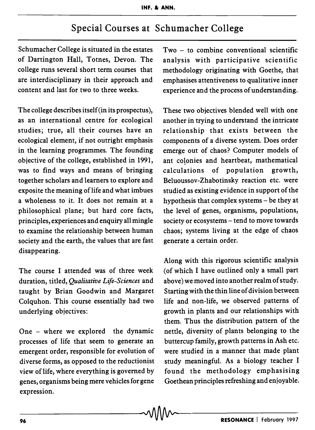## Special Courses at Schumacher College

Schumacher College is situated in the estates of Dartington Hall, Totnes, Devon. The college runs several short term courses that are interdisciplinary in their approach and content and last for two to three weeks.

The college describes itself(in its prospectus), as an international centre for ecological studies; true, all their courses have an ecological element, if not outright emphasis in the learning programmes. The founding objective of the college, established in 1991, was to find ways and means of bringing together scholars and learners to explore and exposite the meaning of life and what imbues a wholeness to it. It does not remain at a philosophical plane; but hard core facts, principles, experiences and enquiry all mingle to examine the relationship between human society and the earth, the values that are fast disappearing.

The course I attended was of three week duration, titled, *Qualitative Life-Sciences* and taught by Brian Goodwin and Margaret Colquhon. This course essentially had two underlying objectives:

processes of life that seem to generate an emergent order, responsible for evolution of diverse forms, as opposed to the reductionist view of life, where everything is governed by genes, organisms being mere vehicles for gene expression.

Two - to combine conventional scientific analysis with participative scientific methodology originating with Goethe, that emphasises attentiveness to qualitative inner experience and the process of understanding.

These two objectives blended well with one another in trying to understand the intricate relationship that exists between the components of a diverse system. Does order emerge out of chaos? Computer models of ant colonies and heartbeat, mathematical calculations of population growth, Beluoussov-Zhabotinsky reaction etc. were studied as existing evidence in support of the hypothesis that complex systems - be they at the level of genes, organisms, populations, society or ecosystems – tend to move towards chaos; systems living at the edge of chaos generate a certain order.

Along with this rigorous scientific analysis (of which I have outlined only a small part above) we moved into another realm of study. Starting with the thin line of division between life and non-life, we observed patterns of growth in plants and our relationships with them. Thus the distribution pattern of the One - where we explored the dynamic nettle, diversity of plants belonging to the buttercup family, growth patterns in Ash etc. were studied in a manner that made plant study meaningful. As a biology teacher I found the methodology emphasising Goethean principles refreshing and enjoyable.